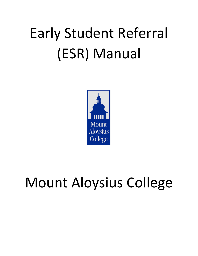# Early Student Referral (ESR) Manual



# Mount Aloysius College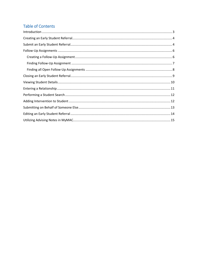### **Table of Contents**

| $\label{eq:1} \mbox{Introduction} \,\, \ldots \,\, \ldots \,\, \ldots \,\, \ldots \,\, \ldots \,\, \ldots \,\, \ldots \,\, \ldots \,\, \ldots \,\, \ldots \,\, \ldots \,\, \ldots \,\, \ldots \,\, \ldots \,\, \ldots \,\, \ldots \,\, \ldots \,\, \ldots \,\, \ldots \,\, \ldots \,\, \ldots \,\, \ldots \,\, \ldots \,\, \ldots \,\, \ldots \,\, \ldots \,\, \ldots \,\, \ldots \,\, \ldots \,\, \ldots \,\, \ldots \,\, \ldots \,\, \ldots \,\, \ldots \,\,$ |  |
|-----------------------------------------------------------------------------------------------------------------------------------------------------------------------------------------------------------------------------------------------------------------------------------------------------------------------------------------------------------------------------------------------------------------------------------------------------------------|--|
|                                                                                                                                                                                                                                                                                                                                                                                                                                                                 |  |
|                                                                                                                                                                                                                                                                                                                                                                                                                                                                 |  |
|                                                                                                                                                                                                                                                                                                                                                                                                                                                                 |  |
|                                                                                                                                                                                                                                                                                                                                                                                                                                                                 |  |
|                                                                                                                                                                                                                                                                                                                                                                                                                                                                 |  |
|                                                                                                                                                                                                                                                                                                                                                                                                                                                                 |  |
|                                                                                                                                                                                                                                                                                                                                                                                                                                                                 |  |
|                                                                                                                                                                                                                                                                                                                                                                                                                                                                 |  |
|                                                                                                                                                                                                                                                                                                                                                                                                                                                                 |  |
|                                                                                                                                                                                                                                                                                                                                                                                                                                                                 |  |
|                                                                                                                                                                                                                                                                                                                                                                                                                                                                 |  |
|                                                                                                                                                                                                                                                                                                                                                                                                                                                                 |  |
|                                                                                                                                                                                                                                                                                                                                                                                                                                                                 |  |
|                                                                                                                                                                                                                                                                                                                                                                                                                                                                 |  |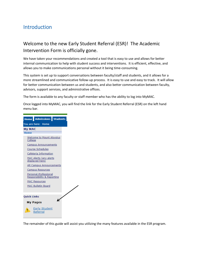## <span id="page-2-0"></span>Introduction

#### Welcome to the new Early Student Referral (ESR)! The Academic Intervention Form is officially gone.

We have taken your recommendations and created a tool that is easy to use and allows for better internal communication to help with student success and interventions. It is efficient, effective, and allows you to make communications personal without it being time-consuming.

This system is set up to support conversations between faculty/staff and students, and it allows for a more streamlined and communicative follow-up process. It is easy to use and easy to track. It will allow for better communication between us and students, and also better communication between faculty, advisors, support services, and administrative offices.

The form is available to any faculty or staff member who has the ability to log into MyMAC.

Once logged into MyMAC, you will find the link for the Early Student Referral (ESR) on the left hand menu bar.



The remainder of this guide will assist you utilizing the many features available in the ESR program.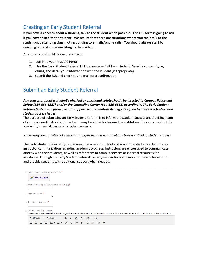# <span id="page-3-0"></span>Creating an Early Student Referral

**If you have a concern about a student, talk to the student when possible. The ESR form is going to ask if you have talked to the student. We realize that there are situations where you can't talk to the student-not attending class, not responding to e-mails/phone calls. You should always start by reaching out and communicating to the student.**

After that, you should follow these steps:

- 1. Log-in to your MyMAC Portal
- 2. Use the Early Student Referral Link to create an ESR for a student. Select a concern type, values, and detail your intervention with the student (if appropriate).
- 3. Submit the ESR and check your e-mail for a confirmation.

### <span id="page-3-1"></span>Submit an Early Student Referral

*Any concerns about a student's physical or emotional safety should be directed to Campus Police and Safety (814-886-6327) and/or the Counseling Center (814-886-6515) accordingly. The Early Student Referral System is a proactive and supportive intervention strategy designed to address retention and student success issues.*

The purpose of submitting an Early Student Referral is to inform the Student Success and Advising team of your concern(s) about a student who may be at risk for leaving the institution. Concerns may include academic, financial, personal or other concerns.

#### *While early identification of concerns is preferred, intervention at any time is critical to student success.*

The Early Student Referral System is meant as a retention tool and is not intended as a substitute for instructor communication regarding academic progress. Instructors are encouraged to communicate directly with their students, as well as refer them to campus services or external resources for assistance. Through the Early Student Referral System, we can track and monitor these interventions and provide students with additional support when needed.

| 1. Submit Early Student Referral(s) for*<br><b>鬼 Select students</b>                                                                                     |
|----------------------------------------------------------------------------------------------------------------------------------------------------------|
| 2. Your relationship to the selected student(s)*<br>v                                                                                                    |
| 3. Type of concern*<br>v                                                                                                                                 |
| 4. Severity of this issue*<br>$\checkmark$                                                                                                               |
| 5. Details about this concern                                                                                                                            |
| Please share any additional information you have about this concern that can help us in our efforts to connect with the student and resolve their issue. |
| $B$ $I$ $Q$ $A$ $Y$ $A$<br>$\mathcal{I}_{\mathbf{x}}$<br>Font Family<br>Font Sizes<br>$\overline{\phantom{a}}$                                           |
| $\Omega$ $\odot$                                                                                                                                         |
|                                                                                                                                                          |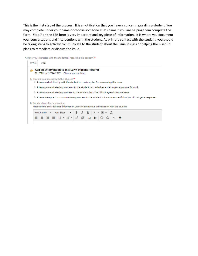This is the first step of the process. It is a notification that you have a concern regarding a student. You may complete under your name or choose someone else's name if you are helping them complete the form. Step 7 on the ESR form is very important and key piece of information. It is where you document your conversations and interventions with the student. As primary contact with the student, you should be taking steps to actively communicate to the student about the issue in class or helping them set up plans to remediate or discuss the issue.

7. Have you interacted with the student(s) regarding this concern?\*

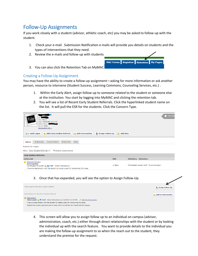# <span id="page-5-0"></span>Follow-Up Assignments

If you work closely with a student (advisor, athletic coach, etc) you may be asked to follow-up with the student.

1. Check your e-mail. Submission Notification e-mails will provide you details on students and the types of interventions that they need.

MAC Forms Registrar Retention My Page

- 2. Review the e-mails and follow-up with students
- 3. You can also click the Retention Tab on MyMAC

#### <span id="page-5-1"></span>Creating a Follow-Up Assignment

You may have the ability to create a follow-up assignment—asking for more information or ask another person, resource to intervene (Student Success, Learning Commons, Counseling Services, etc.) .

- 1. Within the Early Alert, assign follow-up to someone related to the student or someone else at the institution. You start by logging into MyMAC and clicking the retention tab.
- 2. You will see a list of Recent Early Student Referrals. Click the hyperlinked student name on the list. It will pull the ESR for the students. Click the Concern Type.

| No Photo<br>Available<br>Year: Senior<br>Major: RN to BSN (2+2) BS<br>Mobile Phone:<br>Gender: Male<br>More student info                                                                                    |                 | This stude                                      |
|-------------------------------------------------------------------------------------------------------------------------------------------------------------------------------------------------------------|-----------------|-------------------------------------------------|
| A Add Early Student Referral<br>Assign Follow-Up<br>E-mail Logan<br><b>Add Intervention</b>                                                                                                                 | <b>Add Note</b> |                                                 |
| Course Schedule<br>Relationships<br>Student Info<br><b>Notes</b><br><b>Actions</b>                                                                                                                          |                 |                                                 |
| <b>Actions for Logan</b><br>Include closed actions<br>Show: Early Student Referrals                                                                                                                         |                 |                                                 |
| <b>Early Student Referrals</b>                                                                                                                                                                              |                 |                                                 |
| <b>Concern Type</b>                                                                                                                                                                                         | <b>State</b>    | Submitted by (Relationship)                     |
| <b>A</b> Personal Concern<br><b>Intervention</b><br>Christopher M Lovett <b>&amp; A</b> (Staff - Direct Interaction)<br>I have worked directly with the student to create a plan for overcoming this issue. | · Open          | Christopher Lovett (Staff - Direct Interaction) |

#### 3. Once that has expanded, you will see the option to Assign Follow-Up.

| Follow-Ups for this Early Student Referral:                                                                  | <b>Assign Follow-Up</b>    |
|--------------------------------------------------------------------------------------------------------------|----------------------------|
| Interventions for this Early Student Referral:                                                               | <b>Add an Intervention</b> |
| Intervention<br>Chris Lovett & O (Staff - Direct Interaction) on 12/14/17 (2:50 PM) & Edit this Intervention |                            |
|                                                                                                              |                            |
| I have worked directly with the student to create a plan for overcoming this issue.                          |                            |

4. This screen will allow you to assign follow up to an individual on campus (advisor, administration, coach, etc.) either through direct relationships with the student or by looking the individual up with the search feature. You want to provide details to the individual you are making the follow-up assignment to so when the reach out to the student, they understand the premise for the request.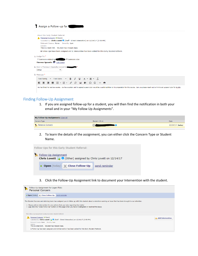#### Assign a Follow-up for

| About this Early Student Referral:<br>Personal Concern (.Open)<br>Δ<br>Submitted by: Chris Lovett i (Staff - Direct Interaction) on 12/14/17 (2:50 PM)<br><b>Relevant Course: None</b><br>Severity: Low<br>Details:<br>This is a test ESR. Student has missed class. |
|----------------------------------------------------------------------------------------------------------------------------------------------------------------------------------------------------------------------------------------------------------------------|
| O Follow-Ups have been assigned and 1 Intervention has been added for this Early Student Referral.                                                                                                                                                                   |
| 1. Assign To:*<br>○ Someone related to (● Someone else<br>Theresa Spanella <sup>3</sup> Edit Users<br>2. How is Theresa A Spanella related to<br>Other<br>▼                                                                                                          |
| 3. Message:*                                                                                                                                                                                                                                                         |
| $B$ $I$<br>⊻<br><b>Font Sizes</b><br>Font Family<br>$\mathbf{v}$<br>$\overline{\phantom{a}}$<br>$\overline{A}$<br>$I_{\times}$<br>恣<br> 豊 理 ■  担・狙・ <br>$\mathscr{E}$<br>$\mathbf{N}$<br>बि<br>÷<br>$\odot$<br>₽<br>Ω<br>$\leftrightarrow$                           |
| He has failed his last two exams. We have spoken and he agreed a peer tutor would be a useful addition to his preparation for this course. Can you please reach out to him to set up peer tutor for BL305.                                                           |

#### <span id="page-6-0"></span>Finding Follow-Up Assignment

1. If you are assigned follow-up for a student, you will then find the notification in both your email and in your "My Follow Up Assignments".

| My Follow-Up Assignments View All |                  |                    |
|-----------------------------------|------------------|--------------------|
| Concern Type                      | Student $(ID = $ | Date               |
| <b>Personal Concern</b>           |                  | $12/14/17$ (today) |

2. To learn the details of the assignment, you can either click the Concern Type or Student Name.



3. Click the Follow-Up Assignment link to document your Intervention with the student.

| Follow-Up Assignment for Logan Flick:<br>$\mathbf{v}$<br><b>Personal Concern</b>                                                                                                                                                                                                                                                                               |                         |
|----------------------------------------------------------------------------------------------------------------------------------------------------------------------------------------------------------------------------------------------------------------------------------------------------------------------------------------------------------------|-------------------------|
| . Open (today) X Close Follow-Up send reminder                                                                                                                                                                                                                                                                                                                 |                         |
| The Student Success and Advising team has assigned you to follow up with this student about a retention warning or issue that has been brought to our attention.<br>. Please add an intervention for any actions that you take regarding the matter<br>. And click the "Close Follow-Up" button on this page when you have investigated or resolved the issue. |                         |
| This Follow-Up Assignment is about an Early Student Referral                                                                                                                                                                                                                                                                                                   |                         |
| Personal Concern (Open)<br>Submitted by: Chris Lovett <b>&amp; 0</b> (Staff - Direct Interaction) on 12/14/17 (2:50 PM)<br>Relevant Course: None Severity: Low<br>Details:                                                                                                                                                                                     | <b>Add Intervention</b> |
| This is a test ESR. Student has missed class.<br>1 Follow-Up has been assigned and 1 Intervention has been added for this Early Student Referral.                                                                                                                                                                                                              |                         |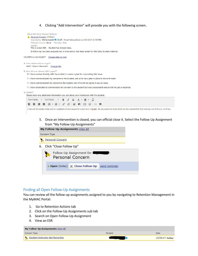4. Clicking "Add Intervention" will provide you with the following screen.

| About this Early Student Referral:                                                                                                                                                        |
|-------------------------------------------------------------------------------------------------------------------------------------------------------------------------------------------|
| Personal Concern (Open)                                                                                                                                                                   |
| Submitted by: Chris Lovett $\blacksquare$ (Staff - Direct Interaction) on 12/14/17 (2:50 PM)                                                                                              |
| Relevant Course: None Severity: Low                                                                                                                                                       |
| Details:                                                                                                                                                                                  |
| This is a test ESR. Student has missed class.                                                                                                                                             |
| 1 Follow-Up has been assigned and 1 Intervention has been added for this Early Student Referral.                                                                                          |
| 03:23PM on 12/14/2017<br>Change date or time                                                                                                                                              |
| 1. Your relationship to Logan*                                                                                                                                                            |
| Staff - Direct Interaction Change this                                                                                                                                                    |
| 2. How did you interact with Logan?*                                                                                                                                                      |
| I have worked directly with the student to create a plan for overcoming this issue.                                                                                                       |
|                                                                                                                                                                                           |
| I have communicated my concerns to the student, and s/he has a plan in place to move forward.                                                                                             |
| I have communicated my concern to the student, but s/he did not agree it was an issue.                                                                                                    |
| I have attempted to communicate my concern to the student but was unsuccessful and/or did not get a response.                                                                             |
| 3. Details*                                                                                                                                                                               |
| Please share any additional information you can about your interaction with the student.                                                                                                  |
|                                                                                                                                                                                           |
| Font Family $\bullet$ Font Sizes $\bullet$   <b>B</b> $I$ $\vee$   <u>A</u> $\bullet$   A $\bullet$  <br>$I_{\times}$                                                                     |
| $\Xi$ $\Xi$ $\Xi$ $\Xi$ $\Xi$ $\Xi$ $\tau$ $\Xi$ $\tau$ $\vartheta$ $\vartheta$ $\Xi$ $\Xi$ $\Xi$ $\Xi$ $\Xi$<br>₽.                                                                       |
| I met with the student today and we completed a formal request for a peer tutor in BL305. He was paired with Susie Smith and she reported their first meeting is at 10:00 a.m. on Friday. |
|                                                                                                                                                                                           |
|                                                                                                                                                                                           |
|                                                                                                                                                                                           |

5. Once an Intervention is closed, you can official close it. Select the Follow Up Assignment from "My Follow-Up Assignments"

|  |              |                            | My Follow-Up Assignments View All                     |               |  |
|--|--------------|----------------------------|-------------------------------------------------------|---------------|--|
|  | Concern Type |                            |                                                       |               |  |
|  |              | <b>Personal Concern</b>    |                                                       |               |  |
|  |              | 6. Click "Close Follow Up" |                                                       |               |  |
|  | $\bullet$    |                            | Follow-Up Assignment for Lagrange<br>Personal Concern |               |  |
|  |              |                            | Open (today) X Close Follow-Up                        | send reminder |  |
|  |              |                            |                                                       |               |  |

#### <span id="page-7-0"></span>Finding all Open Follow-Up Assignments

You can review all the follow-up assignments assigned to you by navigating to Retention Management in the MyMAC Portal:

- 1. Go to Retention Actions tab
- 2. Click on the Follow-Up Assignments sub tab
- 3. Search on Open Follow-Up Assignment
- 4. View an ESR

| My Follow-Up Assignments View All |         |                    |  |
|-----------------------------------|---------|--------------------|--|
| Concern Type                      | Student | Date               |  |
| Student Indicates Not Returning   |         | $12/20/17$ (today) |  |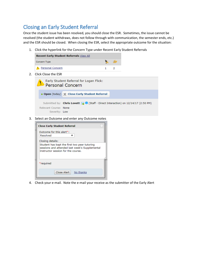## <span id="page-8-0"></span>Closing an Early Student Referral

Once the student issue has been resolved, you should close the ESR. Sometimes, the issue cannot be resolved (the student withdraws, does not follow through with communication, the semester ends, etc.) and the ESR should be closed. When closing the ESR, select the appropriate outcome for the situation:

1. Click the hyperlink for the Concern Type under Recent Early Student Referrals

| <b>Recent Early Student Referrals View All</b> |    |
|------------------------------------------------|----|
| Concern Type                                   | 不幸 |
| <b>A</b> Personal Concern                      |    |

2. Click Close the ESR



3. Select an Outcome and enter any Outcome notes

| <b>Close Early Student Referral</b>                                                                                                  |
|--------------------------------------------------------------------------------------------------------------------------------------|
| Outcome for this alert <sup>*</sup> :                                                                                                |
| Resolved                                                                                                                             |
| Closing details:                                                                                                                     |
| Student has kept the first two peer tutoring<br>sessions and attended last week's Supplemental<br>Instructor session for the course. |
| *required                                                                                                                            |
| Close Alert<br>No thanks                                                                                                             |

4. Check your e-mail. Note the e-mail your receive as the submitter of the Early Alert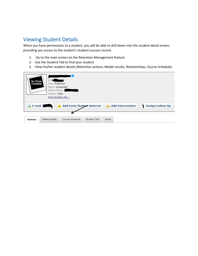## <span id="page-9-0"></span>Viewing Student Details

When you have permissions to a student, you will be able to drill down into the student detail screen, providing you access to the student's student success record.

- 1. Go to the main screen on the Retention Management feature
- 2. Use the Student Tab to find your student
- 3. View his/her student details (Retention actions, Model results, Relationships, Course Schedule)

| No Photo<br>Available     | -- 0<br>ID: I<br>Year: Freshman<br>Major: Undecided<br>Mobile Phone:<br>Gender: Male<br>More student info |
|---------------------------|-----------------------------------------------------------------------------------------------------------|
| $\mathbb{F}_{2}$ E-mail J | A Add Early Student Referral<br><b>Add Intervention</b><br><b>Assign Follow-Up</b><br>۷                   |
| <b>Actions</b>            | Course Schedule<br>Student Info<br>Relationships<br><b>Notes</b>                                          |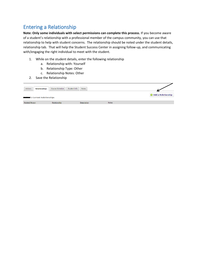# <span id="page-10-0"></span>Entering a Relationship

**Note: Only some individuals with select permissions can complete this process.** If you become aware of a student's relationship with a professional member of the campus community, you can use that relationship to help with student concerns. The relationship should be noted under the student details, relationship tab. That will help the Student Success Center in assigning follow-up, and communicating with/engaging the right individual to meet with the student.

- 1. While on the student details, enter the following relationship
	- a. Relationship with: Yourself
	- b. Relationship Type: Other
	- c. Relationship Notes: Other
- 2. Save the Relationship

| Actions<br>Relationships                  | Course Schedule<br>Student Info | Notes       |       |                             |
|-------------------------------------------|---------------------------------|-------------|-------|-----------------------------|
| <b>Reduction</b> 's Current Relationships |                                 |             |       | <b>O</b> Add a Relationship |
| <b>Related Person</b>                     | Relationship                    | Description | Notes |                             |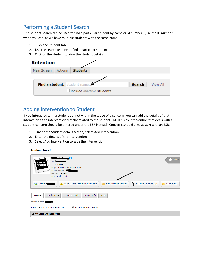## <span id="page-11-0"></span>Performing a Student Search

The student search can be used to find a particular student by name or id number. (use the ID number when you can, as we have multiple students with the same name)

- 1. Click the Student tab
- 2. Use the search feature to find a particular student
- 3. Click on the student to view the student details

| <b>Retention</b>             |         |                 |                                  |  |  |
|------------------------------|---------|-----------------|----------------------------------|--|--|
| Main Screen                  | Actions | <b>Students</b> |                                  |  |  |
|                              |         |                 |                                  |  |  |
| Find a student: student name |         | <b>Search</b>   | <b>View All</b>                  |  |  |
|                              |         |                 | Include <i>inactive</i> students |  |  |

#### <span id="page-11-1"></span>Adding Intervention to Student

If you interacted with a student but not within the scope of a concern, you can add the details of that interaction as an intervention directly related to the student. NOTE: Any intervention that deals with a student concern should be entered under the ESR instead. Concerns should always start with an ESR.

- 1. Under the Student details screen, select Add Intervention
- 2. Enter the details of the intervention
- 3. Select Add Intervention to save the intervention

#### **Student Detail**

| Li.<br>This stu<br>ID:<br>No Photo<br>Available<br>Year: Junior<br>Major: Business Administration<br>Mobile Phone: &<br>Gender: Female<br>More student info<br>A Add Early Student Referral<br><b>Assign Follow-Up</b><br><b>Add Intervention</b><br>Ŷ<br><b>E-mail</b><br><b>Add Note</b> |
|--------------------------------------------------------------------------------------------------------------------------------------------------------------------------------------------------------------------------------------------------------------------------------------------|
| Relationships<br>Course Schedule<br>Student Info<br><b>Notes</b><br><b>Actions</b>                                                                                                                                                                                                         |
| <b>Actions for I</b>                                                                                                                                                                                                                                                                       |
| Include closed actions<br>Show: Early Student Referrals                                                                                                                                                                                                                                    |
| <b>Early Student Referrals</b>                                                                                                                                                                                                                                                             |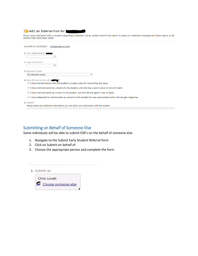#### Add an Intervention for

If you have interacted with a student regarding a retention issue, please submit this report to keep our retention management team aware of all actions that have been taken.

| 01:27PM on 12/20/2017<br>Change date or time                                                                                |  |  |  |  |
|-----------------------------------------------------------------------------------------------------------------------------|--|--|--|--|
| 1. Your relationship to the<br>▼                                                                                            |  |  |  |  |
| 2. Type of concern*<br>۷.                                                                                                   |  |  |  |  |
| 3. Relevant Course                                                                                                          |  |  |  |  |
| No relevant course                                                                                                          |  |  |  |  |
| 4. How did you interact with                                                                                                |  |  |  |  |
| I have worked directly with the student to create a plan for overcoming this issue.                                         |  |  |  |  |
| I have communicated my concerns to the student, and s/he has a plan in place to move forward.                               |  |  |  |  |
| I have communicated my concern to the student, but s/he did not agree it was an issue.                                      |  |  |  |  |
| I have attempted to communicate my concern to the student but was unsuccessful and/or did not get a response.<br>$\bigcirc$ |  |  |  |  |
| 5. Details*                                                                                                                 |  |  |  |  |
| Please share any additional information you can about your interaction with the student.                                    |  |  |  |  |

#### <span id="page-12-0"></span>Submitting on Behalf of Someone Else

Some individuals will be able to submit ESR's on the behalf of someone else

- 1. Navigate to the Submit Early Student Referral form
- 2. Click on Submit on behalf of
- 3. Choose the appropriate person and complete the form

1. Submit as

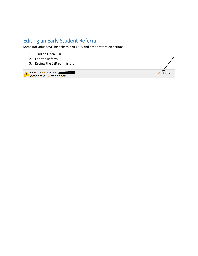# <span id="page-13-0"></span>Editing an Early Student Referral

Some individuals will be able to edit ESRs and other retention actions

- 1. Find an Open ESR
- 2. Edit the Referral
- 3. Review the ESR edit history

Early Student Referral for Tarlow Academic - Attendance

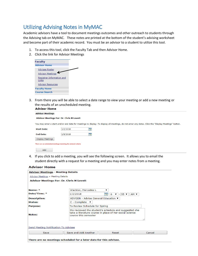## <span id="page-14-0"></span>Utilizing Advising Notes in MyMAC

Academic advisors have a tool to document meetings outcomes and other outreach to students through the Advising tab on MyMAC. These notes are printed at the bottom of the student's advising worksheet and become part of their academic record. You must be an advisor to a student to utilize this tool.

- 1. To access this tool, click the Faculty Tab and then Advisor Home.
- 2. Click the link for Advisor Meetings

| <b>Faculty</b>                     |  |  |  |  |
|------------------------------------|--|--|--|--|
| <b>Advisor Home</b>                |  |  |  |  |
| Advisee Roster                     |  |  |  |  |
| <b>Advisor Meetings</b>            |  |  |  |  |
| Registrar Information and<br>Links |  |  |  |  |
| <b>Advisor Resources</b>           |  |  |  |  |
| <b>Faculty Home</b>                |  |  |  |  |
| <b>Course Search</b>               |  |  |  |  |

3. From there you will be able to select a date range to view your meeting or add a new meeting or the results of an unscheduled meeting.

| <b>Advisor Home</b>                             |                                                               |    |                                                                                                                                                      |  |
|-------------------------------------------------|---------------------------------------------------------------|----|------------------------------------------------------------------------------------------------------------------------------------------------------|--|
| <b>Advisor Meetings</b>                         |                                                               |    |                                                                                                                                                      |  |
| <b>Advisor Meetings For: Dr. Chris M Lovett</b> |                                                               |    |                                                                                                                                                      |  |
|                                                 |                                                               |    | You may enter a start and/or end date for meetings to display. To display all meetings, do not enter any dates. Click the "Display Meetings" button. |  |
| <b>Start Date:</b>                              | 1/2/2018                                                      | E, |                                                                                                                                                      |  |
| <b>End Date:</b>                                | 1/9/2018                                                      | E, |                                                                                                                                                      |  |
| Display Meetings                                |                                                               |    |                                                                                                                                                      |  |
|                                                 | There are no scheduled meetings matching the entered criteria |    |                                                                                                                                                      |  |
| Add                                             |                                                               |    |                                                                                                                                                      |  |

4. If you click to add a meeting, you will see the following screen. It allows you to email the student directly with a request for a meeting and you may enter notes from a meeting.

| <b>Advisor Home</b>                                                |                                                                                                                                          |                                                   |        |  |  |
|--------------------------------------------------------------------|------------------------------------------------------------------------------------------------------------------------------------------|---------------------------------------------------|--------|--|--|
| <b>Advisor Meetings - Meeting Details</b>                          |                                                                                                                                          |                                                   |        |  |  |
| Advisor Meetings > Meeting Details                                 |                                                                                                                                          |                                                   |        |  |  |
| <b>Advisor Meetings For: Dr. Chris M Lovett</b>                    |                                                                                                                                          |                                                   |        |  |  |
|                                                                    |                                                                                                                                          |                                                   |        |  |  |
| Name: *                                                            | Wachter, Mercedes L                                                                                                                      | ▼                                                 |        |  |  |
| Date/Time: *                                                       | 1/2/2018                                                                                                                                 | ⊞<br>$6 \sqrt{2}$<br>$\vert$ : 55 $\vert$<br>AM V |        |  |  |
| <b>Description:</b>                                                | ADVGEN - Advise General Education ▼                                                                                                      |                                                   |        |  |  |
| Status:                                                            | $C$ - Complete $\blacktriangledown$                                                                                                      |                                                   |        |  |  |
| <b>Purpose:</b>                                                    | To Review Schedule for Spring                                                                                                            |                                                   |        |  |  |
| Notes:                                                             | We reviewed the student's schedule and suggested she<br>take a literature course in place of her social science<br>course this semester. |                                                   |        |  |  |
| <b>Send Meeting Notification To Advisee</b>                        |                                                                                                                                          |                                                   |        |  |  |
| Save                                                               | Save and Add Another                                                                                                                     | Reset                                             | Cancel |  |  |
| There are no meetings scheduled for a later date for this advisee. |                                                                                                                                          |                                                   |        |  |  |